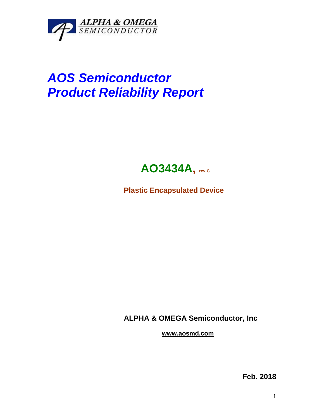

## *AOS Semiconductor Product Reliability Report*



**Plastic Encapsulated Device**

**ALPHA & OMEGA Semiconductor, Inc**

**www.aosmd.com**

**Feb. 2018**